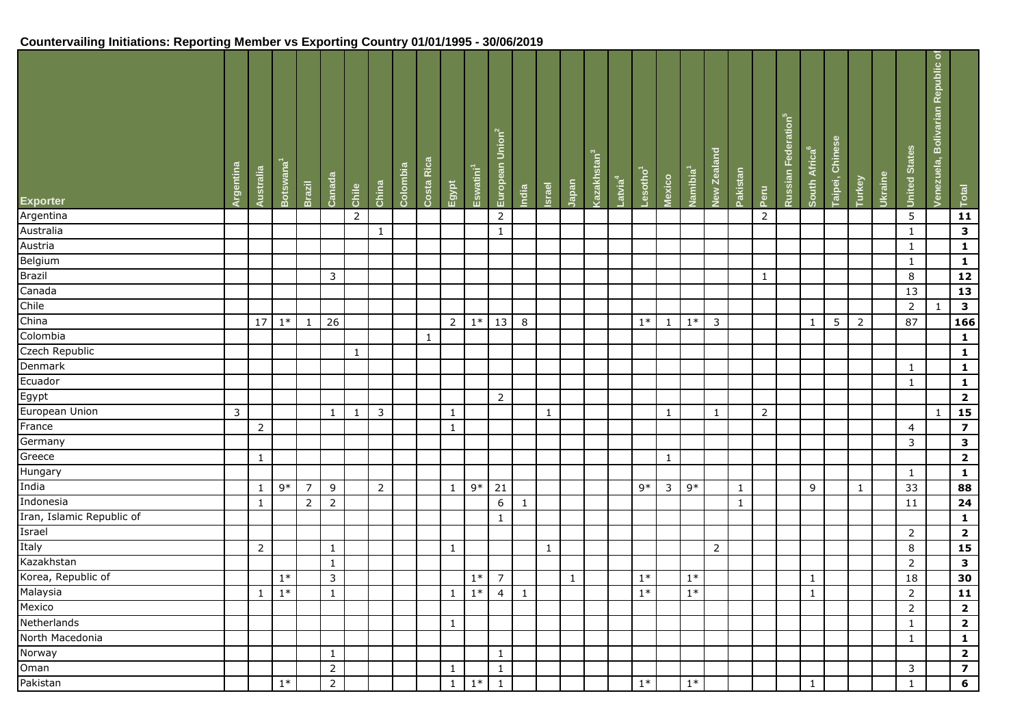# **Countervailing Initiations: Reporting Member vs Exporting Country 01/01/1995 - 30/06/2019**

| <b>Exporter</b>           | Argentina    | Australia      | Botswana <sup>'</sup> | <b>Brazil</b>  | Canada         | Chile          | China          | Colombia | Rica<br>Costa | Egypt          | Eswatini <sup>1</sup> | Union <sup>2</sup><br>European | India        | Israel       | Japan        | Kazakhstan <sup>3</sup> | Latvia <sup>4</sup> | Lesotho <sup>1</sup> | Mexico       | Namibia <sup>1</sup> | New Zealand    | Pakistan     | Peru           | Federation <sup>5</sup><br>Russian | South Africa <sup>6</sup> | Taipei, Chinese | Turkey         | Ukraine | <b>United States</b> | Republic of<br>Venezuela, Bolivarian | Total                   |
|---------------------------|--------------|----------------|-----------------------|----------------|----------------|----------------|----------------|----------|---------------|----------------|-----------------------|--------------------------------|--------------|--------------|--------------|-------------------------|---------------------|----------------------|--------------|----------------------|----------------|--------------|----------------|------------------------------------|---------------------------|-----------------|----------------|---------|----------------------|--------------------------------------|-------------------------|
| Argentina                 |              |                |                       |                |                | $\overline{2}$ |                |          |               |                |                       | $\overline{2}$                 |              |              |              |                         |                     |                      |              |                      |                |              | $\overline{2}$ |                                    |                           |                 |                |         | 5                    |                                      | 11                      |
| Australia                 |              |                |                       |                |                |                | $\mathbf{1}$   |          |               |                |                       | $\mathbf{1}$                   |              |              |              |                         |                     |                      |              |                      |                |              |                |                                    |                           |                 |                |         | $\mathbf{1}$         |                                      | $\overline{\mathbf{3}}$ |
| Austria                   |              |                |                       |                |                |                |                |          |               |                |                       |                                |              |              |              |                         |                     |                      |              |                      |                |              |                |                                    |                           |                 |                |         | $\mathbf{1}$         |                                      | $\mathbf{1}$            |
| Belgium                   |              |                |                       |                |                |                |                |          |               |                |                       |                                |              |              |              |                         |                     |                      |              |                      |                |              |                |                                    |                           |                 |                |         | $\mathbf{1}$         |                                      | $\mathbf 1$             |
| Brazil                    |              |                |                       |                | 3              |                |                |          |               |                |                       |                                |              |              |              |                         |                     |                      |              |                      |                |              | 1              |                                    |                           |                 |                |         | 8                    |                                      | 12                      |
| Canada                    |              |                |                       |                |                |                |                |          |               |                |                       |                                |              |              |              |                         |                     |                      |              |                      |                |              |                |                                    |                           |                 |                |         | 13                   |                                      | 13                      |
| Chile                     |              |                |                       |                |                |                |                |          |               |                |                       |                                |              |              |              |                         |                     |                      |              |                      |                |              |                |                                    |                           |                 |                |         | $\overline{2}$       | $\mathbf{1}$                         | $\overline{\mathbf{3}}$ |
| China                     |              | 17             | $1*$                  | $\mathbf{1}$   | 26             |                |                |          |               | $\overline{2}$ | $1*$                  | 13                             | 8            |              |              |                         |                     | $1*$                 | $\mathbf{1}$ | $1*$                 | $\overline{3}$ |              |                |                                    | $\mathbf{1}$              | 5               | $\overline{2}$ |         | 87                   |                                      | 166                     |
| Colombia                  |              |                |                       |                |                |                |                |          | 1             |                |                       |                                |              |              |              |                         |                     |                      |              |                      |                |              |                |                                    |                           |                 |                |         |                      |                                      | $\mathbf{1}$            |
| Czech Republic            |              |                |                       |                |                | $\mathbf{1}$   |                |          |               |                |                       |                                |              |              |              |                         |                     |                      |              |                      |                |              |                |                                    |                           |                 |                |         |                      |                                      | $\mathbf{1}$            |
| Denmark                   |              |                |                       |                |                |                |                |          |               |                |                       |                                |              |              |              |                         |                     |                      |              |                      |                |              |                |                                    |                           |                 |                |         | $\mathbf{1}$         |                                      | $\mathbf{1}$            |
| Ecuador                   |              |                |                       |                |                |                |                |          |               |                |                       |                                |              |              |              |                         |                     |                      |              |                      |                |              |                |                                    |                           |                 |                |         | $\mathbf{1}$         |                                      | $\mathbf{1}$            |
| Egypt                     |              |                |                       |                |                |                |                |          |               |                |                       | 2                              |              |              |              |                         |                     |                      |              |                      |                |              |                |                                    |                           |                 |                |         |                      |                                      | $\overline{\mathbf{2}}$ |
| European Union            | $\mathbf{3}$ |                |                       |                | $\mathbf{1}$   | $\mathbf{1}$   | 3              |          |               | $\mathbf{1}$   |                       |                                |              | $\mathbf{1}$ |              |                         |                     |                      | 1            |                      | $\mathbf{1}$   |              | $\overline{2}$ |                                    |                           |                 |                |         |                      | $\mathbf{1}$                         | 15                      |
| France                    |              | $\overline{2}$ |                       |                |                |                |                |          |               | $\mathbf{1}$   |                       |                                |              |              |              |                         |                     |                      |              |                      |                |              |                |                                    |                           |                 |                |         | $\overline{4}$       |                                      | $\overline{\mathbf{z}}$ |
| Germany                   |              |                |                       |                |                |                |                |          |               |                |                       |                                |              |              |              |                         |                     |                      |              |                      |                |              |                |                                    |                           |                 |                |         | $\overline{3}$       |                                      | $\mathbf{3}$            |
| Greece                    |              | $\mathbf{1}$   |                       |                |                |                |                |          |               |                |                       |                                |              |              |              |                         |                     |                      | $\mathbf{1}$ |                      |                |              |                |                                    |                           |                 |                |         |                      |                                      | $\overline{\mathbf{2}}$ |
| Hungary                   |              |                |                       |                |                |                |                |          |               |                |                       |                                |              |              |              |                         |                     |                      |              |                      |                |              |                |                                    |                           |                 |                |         | $\mathbf{1}$         |                                      | $\mathbf{1}$            |
| India                     |              | 1              | 9*                    | $\overline{7}$ | 9              |                | $\overline{2}$ |          |               | $\mathbf{1}$   | $9*$                  | 21                             |              |              |              |                         |                     | 9*                   | 3            | $9*$                 |                | $\mathbf{1}$ |                |                                    | 9                         |                 | 1              |         | 33                   |                                      | 88                      |
| Indonesia                 |              | $\mathbf{1}$   |                       | $\overline{2}$ | $\overline{2}$ |                |                |          |               |                |                       | 6                              | $\mathbf{1}$ |              |              |                         |                     |                      |              |                      |                | $\mathbf{1}$ |                |                                    |                           |                 |                |         | 11                   |                                      | 24                      |
| Iran, Islamic Republic of |              |                |                       |                |                |                |                |          |               |                |                       | -1                             |              |              |              |                         |                     |                      |              |                      |                |              |                |                                    |                           |                 |                |         |                      |                                      | $\mathbf{1}$            |
| Israel                    |              |                |                       |                |                |                |                |          |               |                |                       |                                |              |              |              |                         |                     |                      |              |                      |                |              |                |                                    |                           |                 |                |         | 2                    |                                      | $\overline{\mathbf{2}}$ |
| Italy                     |              | $\overline{2}$ |                       |                | $\mathbf{1}$   |                |                |          |               | $\mathbf{1}$   |                       |                                |              | $\mathbf{1}$ |              |                         |                     |                      |              |                      | $\overline{2}$ |              |                |                                    |                           |                 |                |         | 8                    |                                      | 15                      |
| Kazakhstan                |              |                |                       |                | $\mathbf{1}$   |                |                |          |               |                |                       |                                |              |              |              |                         |                     |                      |              |                      |                |              |                |                                    |                           |                 |                |         | $\overline{2}$       |                                      | $\overline{\mathbf{3}}$ |
| Korea, Republic of        |              |                | $1*$                  |                | $\mathbf{3}$   |                |                |          |               |                | $1*$                  | $\overline{7}$                 |              |              | $\mathbf{1}$ |                         |                     | $1*$                 |              | $1*$                 |                |              |                |                                    | $\mathbf{1}$              |                 |                |         | 18                   |                                      | 30                      |
| Malaysia                  |              | $\mathbf{1}$   | $1*$                  |                | $\mathbf{1}$   |                |                |          |               | $\overline{1}$ | $1*$                  | $\overline{4}$                 | $\mathbf{1}$ |              |              |                         |                     | $1*$                 |              | $1*$                 |                |              |                |                                    | $\mathbf{1}$              |                 |                |         | $\overline{2}$       |                                      | 11                      |
| Mexico                    |              |                |                       |                |                |                |                |          |               |                |                       |                                |              |              |              |                         |                     |                      |              |                      |                |              |                |                                    |                           |                 |                |         | $\overline{2}$       |                                      | $\overline{\mathbf{2}}$ |
| Netherlands               |              |                |                       |                |                |                |                |          |               | $\mathbf{1}$   |                       |                                |              |              |              |                         |                     |                      |              |                      |                |              |                |                                    |                           |                 |                |         | $\mathbf{1}$         |                                      | $\mathbf{2}$            |
| North Macedonia           |              |                |                       |                |                |                |                |          |               |                |                       |                                |              |              |              |                         |                     |                      |              |                      |                |              |                |                                    |                           |                 |                |         | $\mathbf{1}$         |                                      | $\mathbf{1}$            |
| Norway                    |              |                |                       |                | $\mathbf{1}$   |                |                |          |               |                |                       | $\mathbf{1}$                   |              |              |              |                         |                     |                      |              |                      |                |              |                |                                    |                           |                 |                |         |                      |                                      | $\overline{\mathbf{2}}$ |
| Oman                      |              |                |                       |                | $\overline{2}$ |                |                |          |               | $\mathbf{1}$   |                       | $\mathbf{1}$                   |              |              |              |                         |                     |                      |              |                      |                |              |                |                                    |                           |                 |                |         | 3                    |                                      | $\overline{\mathbf{z}}$ |
| Pakistan                  |              |                | $1*$                  |                | $\overline{2}$ |                |                |          |               | $\mathbf{1}$   | $1*$                  | $\mathbf{1}$                   |              |              |              |                         |                     | $1^*$                |              | $1^\ast$             |                |              |                |                                    | $\mathbf{1}$              |                 |                |         | $\mathbf{1}$         |                                      | $\bf 6$                 |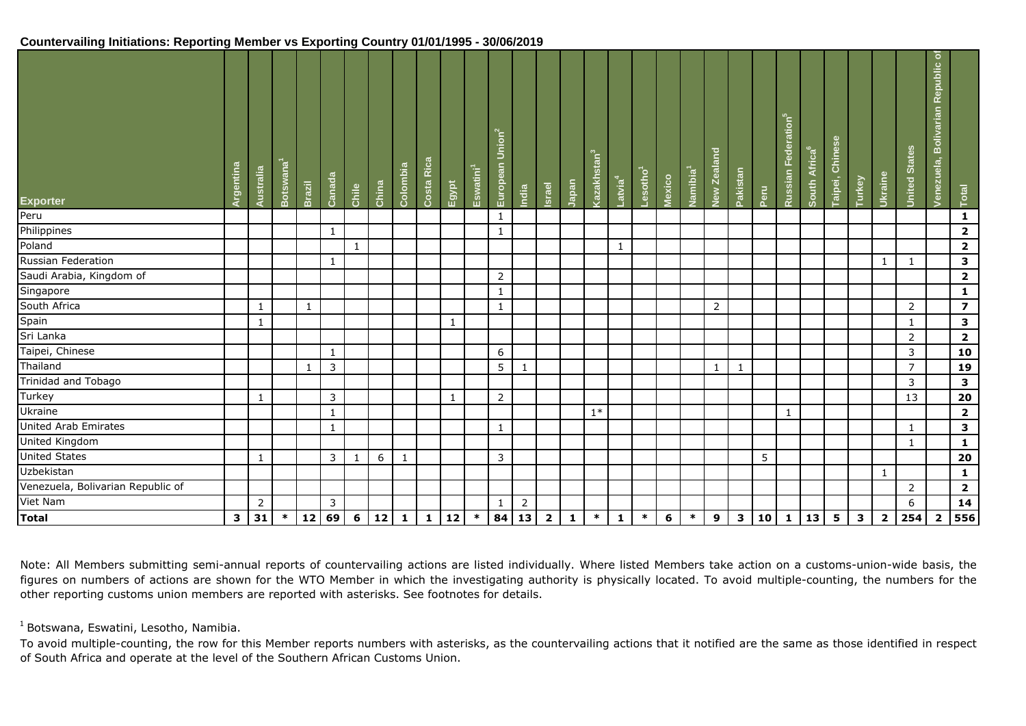### **Countervailing Initiations: Reporting Member vs Exporting Country 01/01/1995 - 30/06/2019**

| <b>Exporter</b>                   | Argentina | Australia    | Botswana <sup>1</sup> | <b>Brazil</b> | Canada       | Chile | China | Colombia        | Costa Rica   | Egypt        | Eswatini <sup>1</sup> | European Union <sup>2</sup> | India          | <b>Israel</b>  | Japan        | Kazakhstan <sup>3</sup> | Latvia <sup>4</sup> | Lesotho <sup>1</sup> | Mexico | Namibia <sup>1</sup> | New Zealand | Pakistan     | Peru | Federation <sup>5</sup><br>Russian | South Africa <sup>6</sup> | <b>Taipei, Chinese</b> | Turkey       | Ukraine                 | <b>United States</b> | $\sigma$<br>Republic<br>Venezuela, Bolivarian | Total                   |
|-----------------------------------|-----------|--------------|-----------------------|---------------|--------------|-------|-------|-----------------|--------------|--------------|-----------------------|-----------------------------|----------------|----------------|--------------|-------------------------|---------------------|----------------------|--------|----------------------|-------------|--------------|------|------------------------------------|---------------------------|------------------------|--------------|-------------------------|----------------------|-----------------------------------------------|-------------------------|
| Peru                              |           |              |                       |               |              |       |       |                 |              |              |                       | $\mathbf{1}$                |                |                |              |                         |                     |                      |        |                      |             |              |      |                                    |                           |                        |              |                         |                      |                                               | $\mathbf{1}$            |
| Philippines                       |           |              |                       |               | $\mathbf{1}$ |       |       |                 |              |              |                       | $\mathbf{1}$                |                |                |              |                         |                     |                      |        |                      |             |              |      |                                    |                           |                        |              |                         |                      |                                               | $\mathbf{2}$            |
| Poland                            |           |              |                       |               |              | 1     |       |                 |              |              |                       |                             |                |                |              |                         | 1                   |                      |        |                      |             |              |      |                                    |                           |                        |              |                         |                      |                                               | $\mathbf{2}$            |
| Russian Federation                |           |              |                       |               | 1            |       |       |                 |              |              |                       |                             |                |                |              |                         |                     |                      |        |                      |             |              |      |                                    |                           |                        |              | 1                       | 1                    |                                               | $\mathbf{3}$            |
| Saudi Arabia, Kingdom of          |           |              |                       |               |              |       |       |                 |              |              |                       | $\overline{2}$              |                |                |              |                         |                     |                      |        |                      |             |              |      |                                    |                           |                        |              |                         |                      |                                               | $\mathbf{2}$            |
| Singapore                         |           |              |                       |               |              |       |       |                 |              |              |                       | $\mathbf{1}$                |                |                |              |                         |                     |                      |        |                      |             |              |      |                                    |                           |                        |              |                         |                      |                                               | $\mathbf{1}$            |
| South Africa                      |           | 1            |                       | $\mathbf{1}$  |              |       |       |                 |              |              |                       | $\mathbf{1}$                |                |                |              |                         |                     |                      |        |                      | 2           |              |      |                                    |                           |                        |              |                         | 2                    |                                               | $\overline{\mathbf{z}}$ |
| Spain                             |           | 1            |                       |               |              |       |       |                 |              | 1            |                       |                             |                |                |              |                         |                     |                      |        |                      |             |              |      |                                    |                           |                        |              |                         | 1                    |                                               | $\mathbf{3}$            |
| Sri Lanka                         |           |              |                       |               |              |       |       |                 |              |              |                       |                             |                |                |              |                         |                     |                      |        |                      |             |              |      |                                    |                           |                        |              |                         | $\overline{2}$       |                                               | $\mathbf{2}$            |
| Taipei, Chinese                   |           |              |                       |               | $\mathbf{1}$ |       |       |                 |              |              |                       | 6                           |                |                |              |                         |                     |                      |        |                      |             |              |      |                                    |                           |                        |              |                         | 3                    |                                               | 10                      |
| Thailand                          |           |              |                       | 1             | $\mathsf 3$  |       |       |                 |              |              |                       | 5                           | $\mathbf{1}$   |                |              |                         |                     |                      |        |                      | 1           | $\mathbf{1}$ |      |                                    |                           |                        |              |                         | $\overline{7}$       |                                               | 19                      |
| Trinidad and Tobago               |           |              |                       |               |              |       |       |                 |              |              |                       |                             |                |                |              |                         |                     |                      |        |                      |             |              |      |                                    |                           |                        |              |                         | 3                    |                                               | $\overline{\mathbf{3}}$ |
| Turkey                            |           | 1            |                       |               | 3            |       |       |                 |              | 1            |                       | $\overline{2}$              |                |                |              |                         |                     |                      |        |                      |             |              |      |                                    |                           |                        |              |                         | 13                   |                                               | ${\bf 20}$              |
| <b>Ukraine</b>                    |           |              |                       |               | $\mathbf{1}$ |       |       |                 |              |              |                       |                             |                |                |              | $1*$                    |                     |                      |        |                      |             |              |      | 1                                  |                           |                        |              |                         |                      |                                               | $\overline{\mathbf{2}}$ |
| United Arab Emirates              |           |              |                       |               | $\mathbf{1}$ |       |       |                 |              |              |                       | 1                           |                |                |              |                         |                     |                      |        |                      |             |              |      |                                    |                           |                        |              |                         | 1                    |                                               | $\mathbf{3}$            |
| United Kingdom                    |           |              |                       |               |              |       |       |                 |              |              |                       |                             |                |                |              |                         |                     |                      |        |                      |             |              |      |                                    |                           |                        |              |                         | $\mathbf{1}$         |                                               | $\mathbf{1}$            |
| <b>United States</b>              |           | $\mathbf{1}$ |                       |               | 3            | 1     | 6     | -1              |              |              |                       | 3                           |                |                |              |                         |                     |                      |        |                      |             |              | 5    |                                    |                           |                        |              |                         |                      |                                               | 20                      |
| Uzbekistan                        |           |              |                       |               |              |       |       |                 |              |              |                       |                             |                |                |              |                         |                     |                      |        |                      |             |              |      |                                    |                           |                        |              | $\mathbf{1}$            |                      |                                               | $\mathbf{1}$            |
| Venezuela, Bolivarian Republic of |           |              |                       |               |              |       |       |                 |              |              |                       |                             |                |                |              |                         |                     |                      |        |                      |             |              |      |                                    |                           |                        |              |                         | $\overline{2}$       |                                               | $\mathbf{2}$            |
| Viet Nam                          |           | 2            |                       |               | 3            |       |       |                 |              |              |                       | $\mathbf{1}$                | $\overline{2}$ |                |              |                         |                     |                      |        |                      |             |              |      |                                    |                           |                        |              |                         | 6                    |                                               | 14                      |
| <b>Total</b>                      |           | $3 \mid 31$  | $*$                   | $12   69$     |              | 6     | $12$  | $\vert 1 \vert$ | $\mathbf{1}$ | $ 12\rangle$ | $\ast$                | 84                          | 13             | $\overline{2}$ | $\mathbf{1}$ | $\ast$                  | 1                   | $\ast$               | 6      | $\ast$               | 9           |              | 3 10 | $\mathbf{1}$                       | 13                        | 5 <sup>1</sup>         | $\mathbf{3}$ | $\overline{\mathbf{2}}$ | 254                  | $\overline{\mathbf{2}}$                       | 556                     |

Note: All Members submitting semi-annual reports of countervailing actions are listed individually. Where listed Members take action on a customs-union-wide basis, the figures on numbers of actions are shown for the WTO Member in which the investigating authority is physically located. To avoid multiple-counting, the numbers for the other reporting customs union members are reported with asterisks. See footnotes for details.

 $<sup>1</sup>$  Botswana, Eswatini, Lesotho, Namibia.</sup>

To avoid multiple-counting, the row for this Member reports numbers with asterisks, as the countervailing actions that it notified are the same as those identified in respect of South Africa and operate at the level of the Southern African Customs Union.